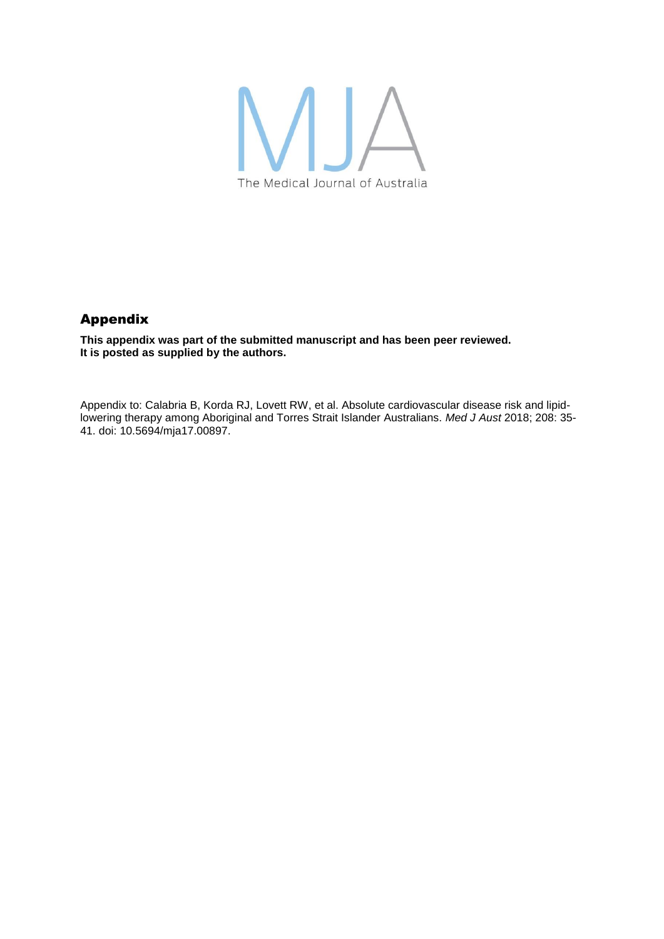

# Appendix

**This appendix was part of the submitted manuscript and has been peer reviewed. It is posted as supplied by the authors.**

Appendix to: Calabria B, Korda RJ, Lovett RW, et al. Absolute cardiovascular disease risk and lipidlowering therapy among Aboriginal and Torres Strait Islander Australians. *Med J Aust* 2018; 208: 35- 41. doi: 10.5694/mja17.00897.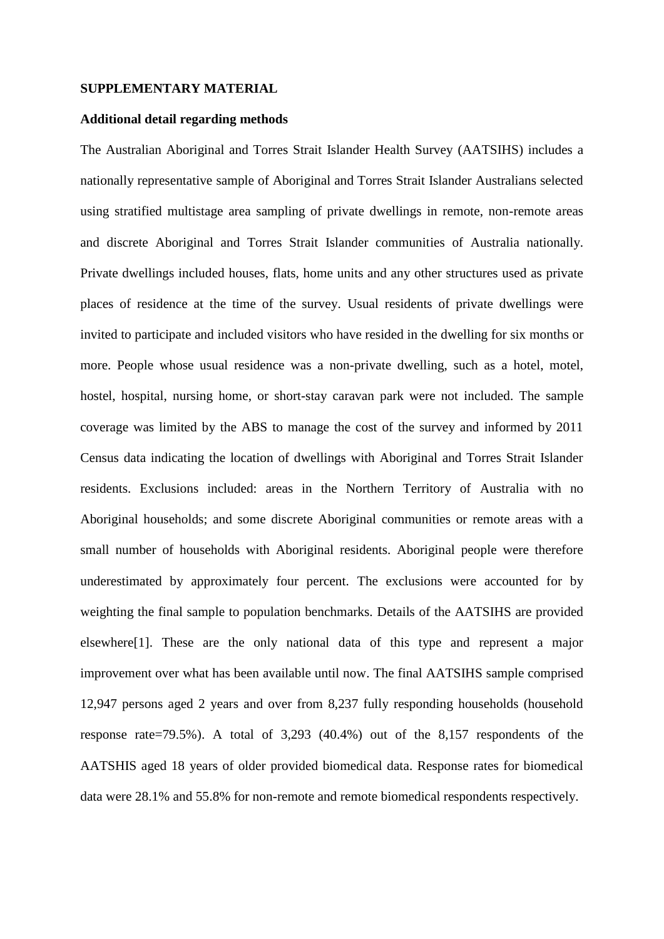### **SUPPLEMENTARY MATERIAL**

#### **Additional detail regarding methods**

The Australian Aboriginal and Torres Strait Islander Health Survey (AATSIHS) includes a nationally representative sample of Aboriginal and Torres Strait Islander Australians selected using stratified multistage area sampling of private dwellings in remote, non-remote areas and discrete Aboriginal and Torres Strait Islander communities of Australia nationally. Private dwellings included houses, flats, home units and any other structures used as private places of residence at the time of the survey. Usual residents of private dwellings were invited to participate and included visitors who have resided in the dwelling for six months or more. People whose usual residence was a non-private dwelling, such as a hotel, motel, hostel, hospital, nursing home, or short-stay caravan park were not included. The sample coverage was limited by the ABS to manage the cost of the survey and informed by 2011 Census data indicating the location of dwellings with Aboriginal and Torres Strait Islander residents. Exclusions included: areas in the Northern Territory of Australia with no Aboriginal households; and some discrete Aboriginal communities or remote areas with a small number of households with Aboriginal residents. Aboriginal people were therefore underestimated by approximately four percent. The exclusions were accounted for by weighting the final sample to population benchmarks. Details of the AATSIHS are provided elsewhere[1]. These are the only national data of this type and represent a major improvement over what has been available until now. The final AATSIHS sample comprised 12,947 persons aged 2 years and over from 8,237 fully responding households (household response rate=79.5%). A total of 3,293 (40.4%) out of the 8,157 respondents of the AATSHIS aged 18 years of older provided biomedical data. Response rates for biomedical data were 28.1% and 55.8% for non-remote and remote biomedical respondents respectively.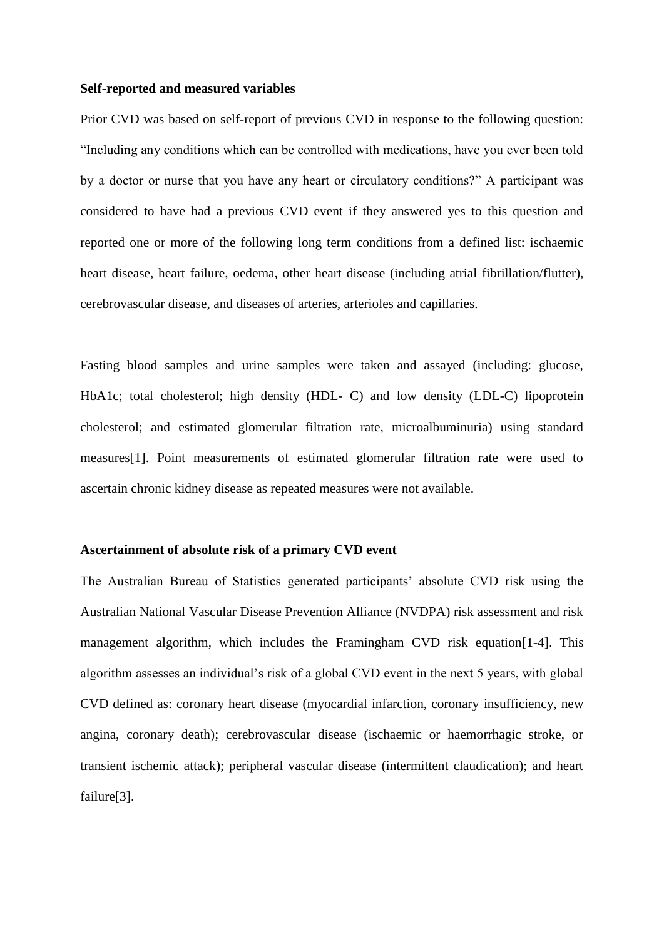### **Self-reported and measured variables**

Prior CVD was based on self-report of previous CVD in response to the following question: "Including any conditions which can be controlled with medications, have you ever been told by a doctor or nurse that you have any heart or circulatory conditions?" A participant was considered to have had a previous CVD event if they answered yes to this question and reported one or more of the following long term conditions from a defined list: ischaemic heart disease, heart failure, oedema, other heart disease (including atrial fibrillation/flutter), cerebrovascular disease, and diseases of arteries, arterioles and capillaries.

Fasting blood samples and urine samples were taken and assayed (including: glucose, HbA1c; total cholesterol; high density (HDL- C) and low density (LDL-C) lipoprotein cholesterol; and estimated glomerular filtration rate, microalbuminuria) using standard measures[1]. Point measurements of estimated glomerular filtration rate were used to ascertain chronic kidney disease as repeated measures were not available.

## **Ascertainment of absolute risk of a primary CVD event**

The Australian Bureau of Statistics generated participants' absolute CVD risk using the Australian National Vascular Disease Prevention Alliance (NVDPA) risk assessment and risk management algorithm, which includes the Framingham CVD risk equation[1-4]. This algorithm assesses an individual's risk of a global CVD event in the next 5 years, with global CVD defined as: coronary heart disease (myocardial infarction, coronary insufficiency, new angina, coronary death); cerebrovascular disease (ischaemic or haemorrhagic stroke, or transient ischemic attack); peripheral vascular disease (intermittent claudication); and heart failure[3].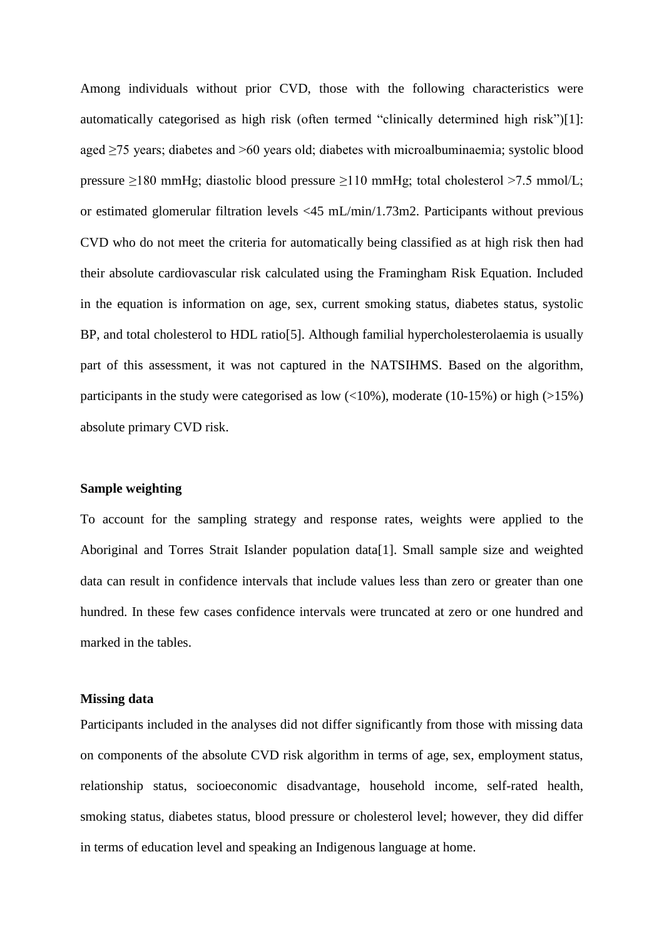Among individuals without prior CVD, those with the following characteristics were automatically categorised as high risk (often termed "clinically determined high risk")[1]: aged ≥75 years; diabetes and >60 years old; diabetes with microalbuminaemia; systolic blood pressure ≥180 mmHg; diastolic blood pressure ≥110 mmHg; total cholesterol >7.5 mmol/L; or estimated glomerular filtration levels <45 mL/min/1.73m2. Participants without previous CVD who do not meet the criteria for automatically being classified as at high risk then had their absolute cardiovascular risk calculated using the Framingham Risk Equation. Included in the equation is information on age, sex, current smoking status, diabetes status, systolic BP, and total cholesterol to HDL ratio[5]. Although familial hypercholesterolaemia is usually part of this assessment, it was not captured in the NATSIHMS. Based on the algorithm, participants in the study were categorised as low  $\left(\langle 10\% \right)$ , moderate (10-15%) or high (>15%) absolute primary CVD risk.

## **Sample weighting**

To account for the sampling strategy and response rates, weights were applied to the Aboriginal and Torres Strait Islander population data[1]. Small sample size and weighted data can result in confidence intervals that include values less than zero or greater than one hundred. In these few cases confidence intervals were truncated at zero or one hundred and marked in the tables.

## **Missing data**

Participants included in the analyses did not differ significantly from those with missing data on components of the absolute CVD risk algorithm in terms of age, sex, employment status, relationship status, socioeconomic disadvantage, household income, self-rated health, smoking status, diabetes status, blood pressure or cholesterol level; however, they did differ in terms of education level and speaking an Indigenous language at home.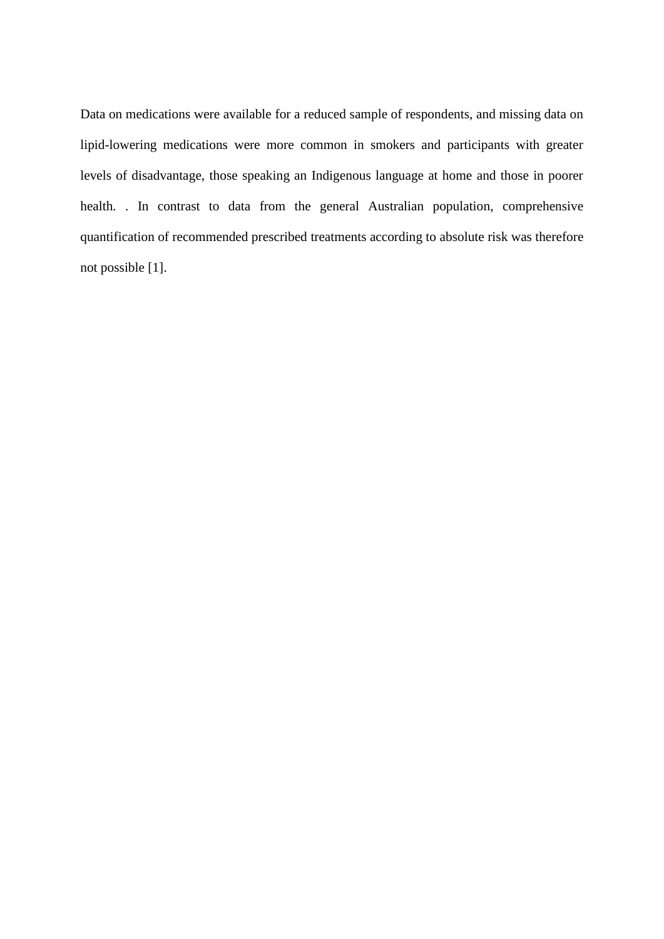Data on medications were available for a reduced sample of respondents, and missing data on lipid-lowering medications were more common in smokers and participants with greater levels of disadvantage, those speaking an Indigenous language at home and those in poorer health. . In contrast to data from the general Australian population, comprehensive quantification of recommended prescribed treatments according to absolute risk was therefore not possible [1].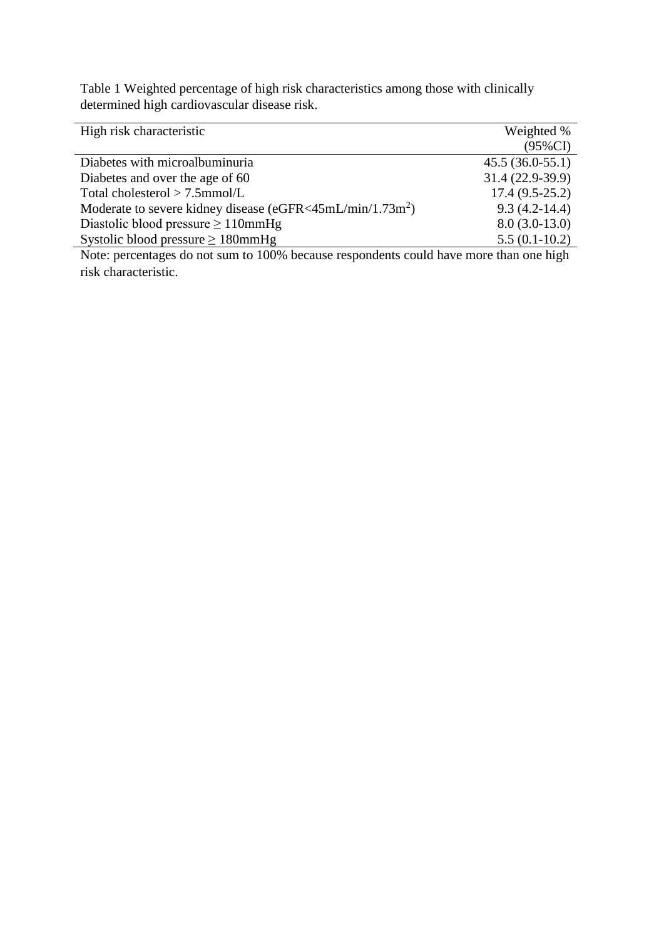Table 1 Weighted percentage of high risk characteristics among those with clinically determined high cardiovascular disease risk.

| High risk characteristic                                                                                                                                                                                                                                                                                                                   | Weighted %                                          |
|--------------------------------------------------------------------------------------------------------------------------------------------------------------------------------------------------------------------------------------------------------------------------------------------------------------------------------------------|-----------------------------------------------------|
|                                                                                                                                                                                                                                                                                                                                            | $(95\%CI)$                                          |
| Diabetes with microalbuminuria                                                                                                                                                                                                                                                                                                             | $45.5(36.0-55.1)$                                   |
| Diabetes and over the age of 60                                                                                                                                                                                                                                                                                                            | 31.4 (22.9-39.9)                                    |
| Total cholesterol $> 7.5$ mmol/L                                                                                                                                                                                                                                                                                                           | $17.4(9.5-25.2)$                                    |
| Moderate to severe kidney disease (eGFR<45mL/min/1.73m <sup>2</sup> )                                                                                                                                                                                                                                                                      | $9.3(4.2-14.4)$                                     |
| Diastolic blood pressure $\geq 110$ mmHg                                                                                                                                                                                                                                                                                                   | $8.0(3.0-13.0)$                                     |
| Systolic blood pressure $\geq 180$ mmHg                                                                                                                                                                                                                                                                                                    | $5.5(0.1-10.2)$                                     |
| 111<br>$\mathbf{M}$ (1 mm $\mathbf{M}$ mm $\mathbf{M}$ mm $\mathbf{M}$ mm $\mathbf{M}$ mm $\mathbf{M}$ mm $\mathbf{M}$ mm $\mathbf{M}$ mm $\mathbf{M}$ mm $\mathbf{M}$ mm $\mathbf{M}$ mm $\mathbf{M}$ mm $\mathbf{M}$ mm $\mathbf{M}$ mm $\mathbf{M}$ mm $\mathbf{M}$ mm $\mathbf{M}$ mm $\mathbf{M}$ mm $\$<br>$\mathbf{1}$ $\mathbf{1}$ | $\mathbf{1}$ $\mathbf{1}$ $\mathbf{1}$ $\mathbf{1}$ |

Note: percentages do not sum to 100% because respondents could have more than one high risk characteristic.